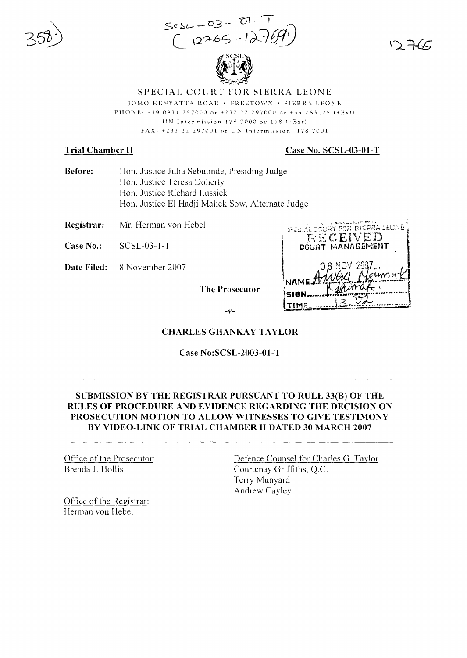$scsL - 03 - 01 - 1$ <br>(12765-1271



SPECIAL COURT FOR SIERRA LEONE JOMO KENYATTA ROAD . FREETOWN . SIERRA LEONE PHONE: +39 0831 257000 or +232 22 297000 or +39 083125 (+Ext) UN Intermission  $178,7000$  or  $178 (+\text{Ext})$ FAX: +232 22 297001 or UN Intermission: 178 7001

## **Trial Chamber II**

#### Case No. SCSL-03-01-T

- **Before:** Hon. Justice Julia Sebutinde, Presiding Judge Hon. Justice Teresa Doherty Hon. Justice Richard Lussick Hon. Justice El Hadji Malick Sow, Alternate Judge
- Registrar: Mr. Herman von Hebel
- Case No.:  $SCSL-03-1-T$
- Date Filed: 8 November 2007

**The Prosecutor** 

JPECIAL COURT FOR BIERRA LEUNE RECEIVED COURT MANAGEMENT TIMF

 $-V-$ 

#### **CHARLES GHANKAY TAYLOR**

**Case No:SCSL-2003-01-T** 

## SUBMISSION BY THE REGISTRAR PURSUANT TO RULE 33(B) OF THE RULES OF PROCEDURE AND EVIDENCE REGARDING THE DECISION ON PROSECUTION MOTION TO ALLOW WITNESSES TO GIVE TESTIMONY BY VIDEO-LINK OF TRIAL CHAMBER II DATED 30 MARCH 2007

Office of the Prosecutor: Brenda J. Hollis

Office of the Registrar: Herman von Hebel

Defence Counsel for Charles G. Taylor Courtenay Griffiths, Q.C. Terry Munyard Andrew Cayley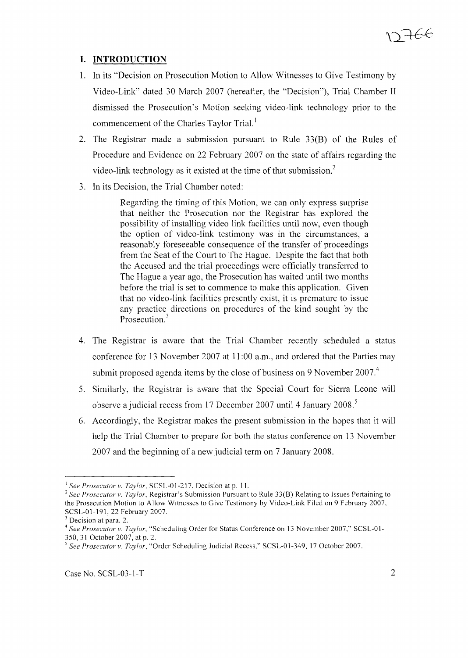# **I. INTRODUCTION**

- 1. In its "Decision on Prosecution Motion to Allow Witnesses to Give Testimony by Video-Link" dated 30 March 2007 (hereafter, the "Decision"), Trial Chamber II dismissed the Prosecution's Motion seeking video-link technology prior to the commencement of the Charles Taylor Trial.<sup>1</sup>
- 2. The Registrar made a submission pursuant to Rule 33(B) of the Rules of Procedure and Evidence on 22 February 2007 on the state of affairs regarding the video-link technology as it existed at the time of that submission. $<sup>2</sup>$ </sup>
- 3. In its Decision, the Trial Chamber noted:

Regarding the timing of this Motion, we can only express surprise that neither the Prosecution nor the Registrar has explored the possibility of installing video link facilities until now, even though the option of video-link testimony was in the circumstances, a reasonably foreseeable consequence of the transfer of proceedings from the Seat of the Court to The Hague. Despite the fact that both the Accused and the trial proceedings were officially transferred to The Hague a year ago, the Prosecution has waited until two months before the trial is set to commence to make this application. Given that no video-link facilities presently exist, it is premature to issue any practice directions on procedures of the kind sought by the Prosecution.<sup>3</sup>

- 4. The Registrar is aware that the Trial Chamber recently scheduled a status conference for 13 November 2007 at 11:00 a.m., and ordered that the Parties may submit proposed agenda items by the close of business on 9 November 2007.<sup>4</sup>
- 5. Similarly, the Registrar is aware that the Special Court for Sierra Leone will observe a judicial recess from 17 December 2007 until 4 January 2008.<sup>5</sup>
- 6. Accordingly, the Registrar makes the present submission in the hopes that it will help the Trial Chamber to prepare for both the status conference on 13 November 2007 and the beginning of a new judicial term on 7 January 2008.

<sup>&</sup>lt;sup>1</sup> See Prosecutor v. *Taylor*, SCSL-01-217, Decision at p. 11.

<sup>2</sup> *See Prosecutor* v. *Taylor.* Registrar's Submission Pursuant to Rule 33(8) Relating to Issues Pertaining to the Prosecution Motion to Allow Witnesses to Give Testimony by Video-Link Filed on 9 February 2007, SCSL-01-191, 22 February 2007.

 $<sup>3</sup>$  Decision at para. 2.</sup>

<sup>&</sup>lt;sup>4</sup> See Prosecutor v. Taylor, "Scheduling Order for Status Conference on 13 November 2007," SCSL-01-350, 31 October 2007, at p. 2.

*<sup>5</sup> See Prosecutor* v. *Taylor,* "Order Scheduling Judicial Recess," SCSL-O 1-349, 17 October 2007.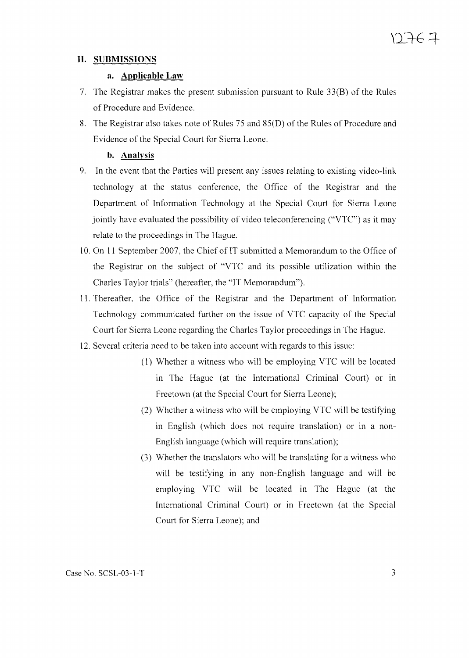## **II. SUBMISSIONS**

## **a. Applicable Law**

- 7. The Registrar makes the present submission pursuant to Rule 33(B) of the Rules of Procedure and Evidence.
- 8. The Registrar also takes note of Rules 75 and 85(D) of the Rules of Procedure and Evidence of the Special Court for Sierra Leone.

## **b. Analysis**

- 9. In the event that the Parties will present any issues relating to existing video-link technology at the status conference, the Office of the Registrar and the Department of Information Technology at the Special Court for Sierra Leone jointly have evaluated the possibility of video teleconferencing ("VTC") as it may relate to the proceedings in The Hague.
- 10. On 11 September 2007, the Chief of IT submitted a Memorandum to the Office of the Registrar on the subject of "VTC and its possible utilization within the Charles Taylor trials" (hereafter, the "IT Memorandum").
- 11. Thereafter, the Office of the Registrar and the Department of Information Technology communicated further on the issue of VTC capacity of the Special Court for Sierra Leone regarding the Charles Taylor proceedings in The Hague.
- 12. Several criteria need to be taken into account with regards to this issue:
	- (1) Whether a witness who will be employing VTC will be located in The Hague (at the International Criminal Court) or in Freetown (at the Special Court for Sierra Leone);
	- (2) Whether a witness who will be employing VTC will be testifying in English (which does not require translation) or in a non-English language (which will require translation);
	- (3) Whether the translators who will be translating for a witness who will be testifying in any non-English language and will be employing VTC will be located in The Hague (at the International Criminal Court) or in Freetown (at the Special Court for Sierra Leone); and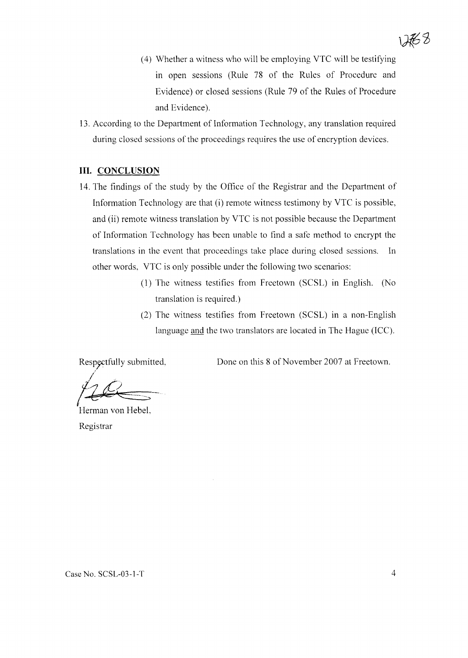- (4) Whether a witness who will be employing VTC will be testifying in open sessions (Rule 78 of the Rules of Procedure and Evidence) or closed sessions (Rule 79 of the Rules of Procedure and Evidence).
- 13. According to the Department of Information Technology, any translation required during closed sessions of the proceedings requires the use of encryption devices.

#### **III. CONCLUSION**

- 14. The findings of the study by the Office of the Registrar and the Department of Information Technology are that (i) remote witness testimony by VTC is possible, and (ii) remote witness translation by VTC is not possible because the Department of Information Technology has been unable to find a safe method to encrypt the translations in the event that proceedings take place during closed sessions. **In** other words, VTC is only possible under the following two scenarios:
	- (1) The witness testifies from Freetown (SCSL) in English. (No translation is required.)
	- (2) The witness testifies from Freetown (SCSL) in a non-English language and the two translators are located in The Hague (ICC).

Respectfully submitted,

Done on this 8 of November 2007 at Freetown.

/ .  $|22|$ 

Herman von Hebel, Registrar